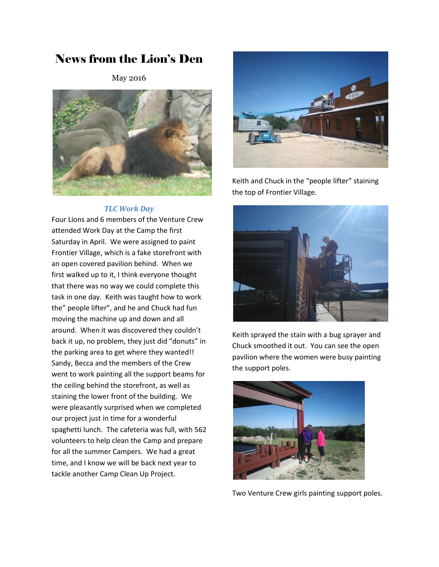# News from the Lion's Den

May 2016



#### *TLC Work Day*

Four Lions and 6 members of the Venture Crew attended Work Day at the Camp the first Saturday in April. We were assigned to paint Frontier Village, which is a fake storefront with an open covered pavilion behind. When we first walked up to it, I think everyone thought that there was no way we could complete this task in one day. Keith was taught how to work the" people lifter", and he and Chuck had fun moving the machine up and down and all around. When it was discovered they couldn't back it up, no problem, they just did "donuts" in the parking area to get where they wanted!! Sandy, Becca and the members of the Crew went to work painting all the support beams for the ceiling behind the storefront, as well as staining the lower front of the building. We were pleasantly surprised when we completed our project just in time for a wonderful spaghetti lunch. The cafeteria was full, with 562 volunteers to help clean the Camp and prepare for all the summer Campers. We had a great time, and I know we will be back next year to tackle another Camp Clean Up Project.



Keith and Chuck in the "people lifter" staining the top of Frontier Village.



Keith sprayed the stain with a bug sprayer and Chuck smoothed it out. You can see the open pavilion where the women were busy painting the support poles.



Two Venture Crew girls painting support poles.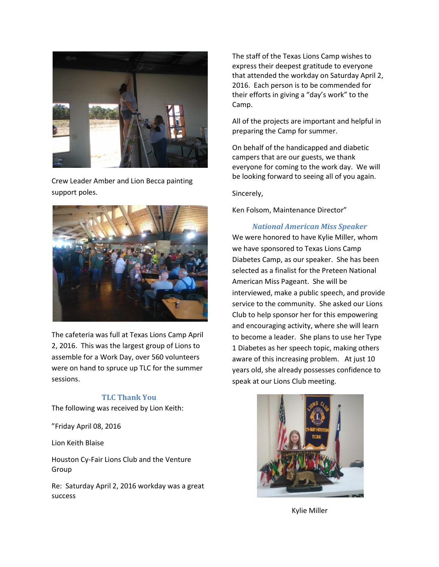

Crew Leader Amber and Lion Becca painting support poles.



The cafeteria was full at Texas Lions Camp April 2, 2016. This was the largest group of Lions to assemble for a Work Day, over 560 volunteers were on hand to spruce up TLC for the summer sessions.

#### **TLC Thank You**

The following was received by Lion Keith:

"Friday April 08, 2016

Lion Keith Blaise

Houston Cy-Fair Lions Club and the Venture Group

Re: Saturday April 2, 2016 workday was a great success

The staff of the Texas Lions Camp wishes to express their deepest gratitude to everyone that attended the workday on Saturday April 2, 2016. Each person is to be commended for their efforts in giving a "day's work" to the Camp.

All of the projects are important and helpful in preparing the Camp for summer.

On behalf of the handicapped and diabetic campers that are our guests, we thank everyone for coming to the work day. We will be looking forward to seeing all of you again.

Sincerely,

Ken Folsom, Maintenance Director"

#### *National American Miss Speaker*

We were honored to have Kylie Miller, whom we have sponsored to Texas Lions Camp Diabetes Camp, as our speaker. She has been selected as a finalist for the Preteen National American Miss Pageant. She will be interviewed, make a public speech, and provide service to the community. She asked our Lions Club to help sponsor her for this empowering and encouraging activity, where she will learn to become a leader. She plans to use her Type 1 Diabetes as her speech topic, making others aware of this increasing problem. At just 10 years old, she already possesses confidence to speak at our Lions Club meeting.



Kylie Miller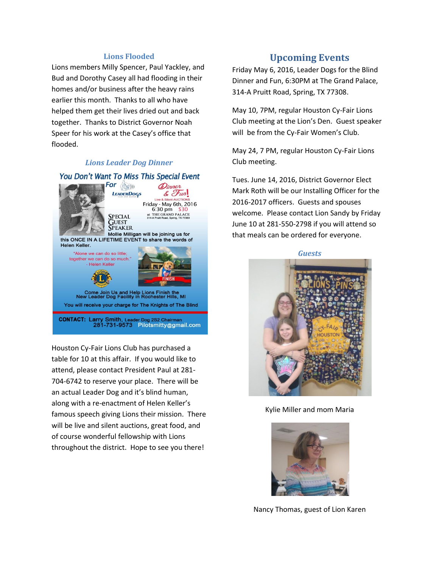#### **Lions Flooded**

Lions members Milly Spencer, Paul Yackley, and Bud and Dorothy Casey all had flooding in their homes and/or business after the heavy rains earlier this month. Thanks to all who have helped them get their lives dried out and back together. Thanks to District Governor Noah Speer for his work at the Casey's office that flooded.

#### *Lions Leader Dog Dinner*

#### You Don't Want To Miss This Special Event



Houston Cy-Fair Lions Club has purchased a table for 10 at this affair. If you would like to attend, please contact President Paul at 281- 704-6742 to reserve your place. There will be an actual Leader Dog and it's blind human, along with a re-enactment of Helen Keller's famous speech giving Lions their mission. There will be live and silent auctions, great food, and of course wonderful fellowship with Lions throughout the district. Hope to see you there!

### **Upcoming Events**

Friday May 6, 2016, Leader Dogs for the Blind Dinner and Fun, 6:30PM at The Grand Palace, 314-A Pruitt Road, Spring, TX 77308.

May 10, 7PM, regular Houston Cy-Fair Lions Club meeting at the Lion's Den. Guest speaker will be from the Cy-Fair Women's Club.

May 24, 7 PM, regular Houston Cy-Fair Lions Club meeting.

Tues. June 14, 2016, District Governor Elect Mark Roth will be our Installing Officer for the 2016-2017 officers. Guests and spouses welcome. Please contact Lion Sandy by Friday June 10 at 281-550-2798 if you will attend so that meals can be ordered for everyone.



Kylie Miller and mom Maria



Nancy Thomas, guest of Lion Karen